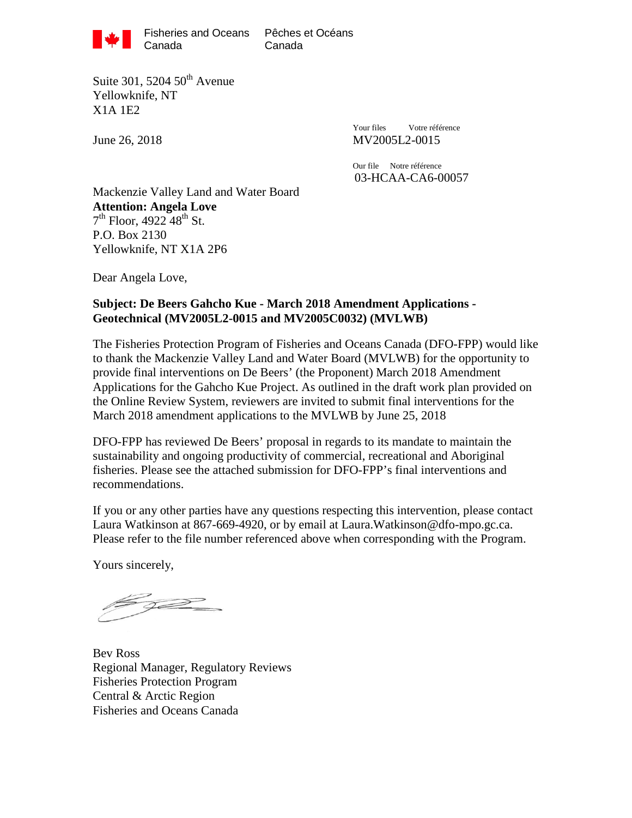

Canada

Suite 301, 5204  $50<sup>th</sup>$  Avenue Yellowknife, NT X1A 1E2

Your files Votre référence June 26, 2018 MV2005L2-0015

> Our file Notre référence 03-HCAA-CA6-00057

Mackenzie Valley Land and Water Board **Attention: Angela Love**  $7<sup>th</sup>$  Floor, 4922  $48<sup>th</sup>$  St. P.O. Box 2130 Yellowknife, NT X1A 2P6

Dear Angela Love,

#### **Subject: De Beers Gahcho Kue - March 2018 Amendment Applications - Geotechnical (MV2005L2-0015 and MV2005C0032) (MVLWB)**

The Fisheries Protection Program of Fisheries and Oceans Canada (DFO-FPP) would like to thank the Mackenzie Valley Land and Water Board (MVLWB) for the opportunity to provide final interventions on De Beers' (the Proponent) March 2018 Amendment Applications for the Gahcho Kue Project. As outlined in the draft work plan provided on the Online Review System, reviewers are invited to submit final interventions for the March 2018 amendment applications to the MVLWB by June 25, 2018

DFO-FPP has reviewed De Beers' proposal in regards to its mandate to maintain the sustainability and ongoing productivity of commercial, recreational and Aboriginal fisheries. Please see the attached submission for DFO-FPP's final interventions and recommendations.

If you or any other parties have any questions respecting this intervention, please contact Laura Watkinson at 867-669-4920, or by email at Laura.Watkinson@dfo-mpo.gc.ca. Please refer to the file number referenced above when corresponding with the Program.

Yours sincerely,

by

Bev Ross Regional Manager, Regulatory Reviews Fisheries Protection Program Central & Arctic Region Fisheries and Oceans Canada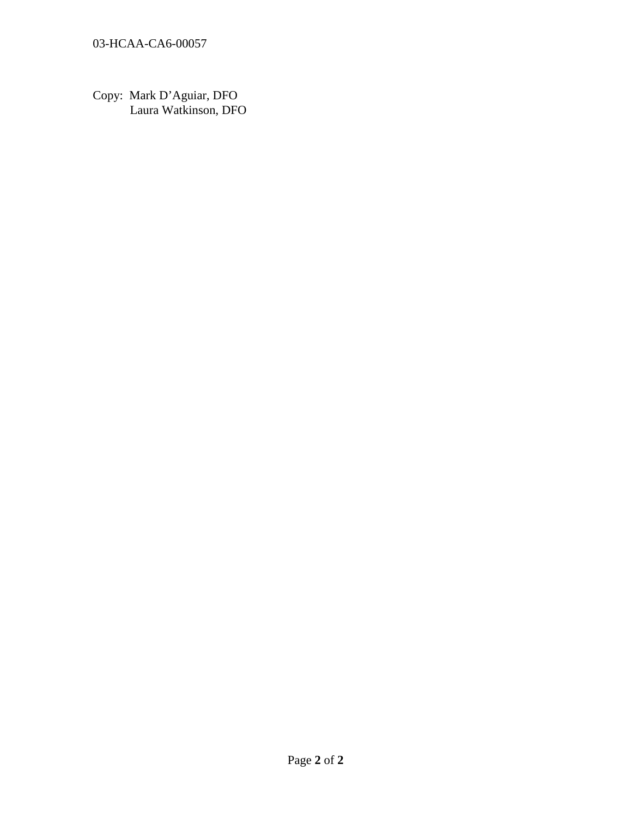Copy: Mark D'Aguiar, DFO Laura Watkinson, DFO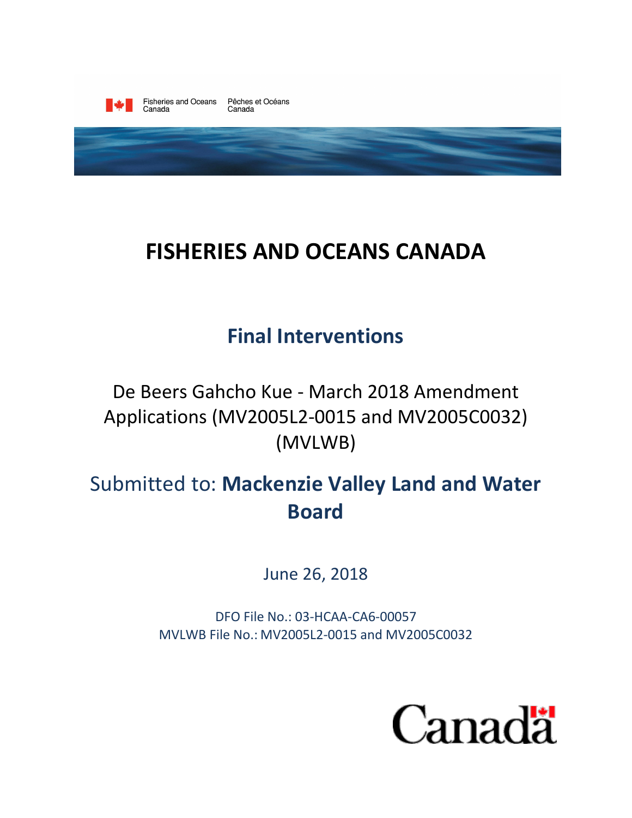

# **FISHERIES AND OCEANS CANADA**

# **Final Interventions**

De Beers Gahcho Kue - March 2018 Amendment Applications (MV2005L2-0015 and MV2005C0032) (MVLWB)

# Submitted to: **Mackenzie Valley Land and Water Board**

June 26, 2018

DFO File No.: 03-HCAA-CA6-00057 MVLWB File No.: MV2005L2-0015 and MV2005C0032

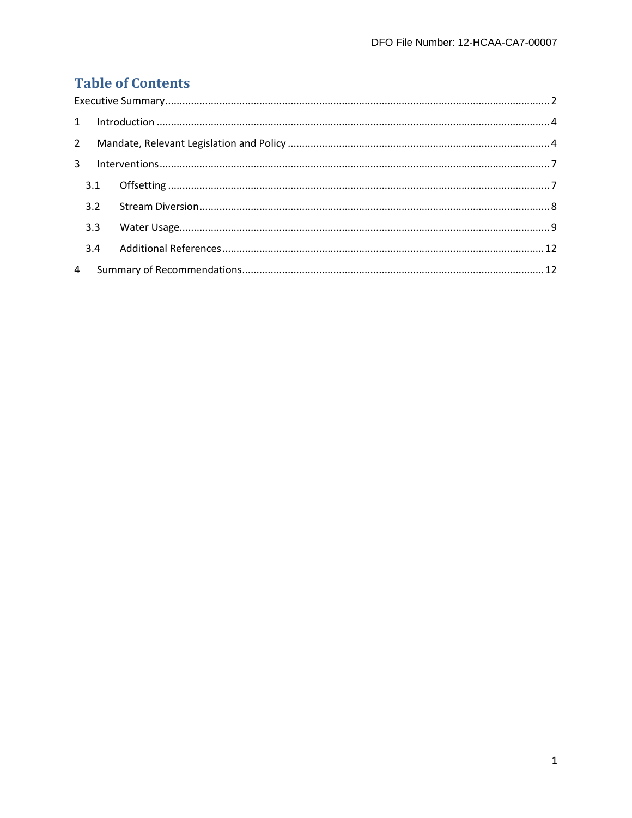### **Table of Contents**

| $2^{\circ}$ |     |  |  |
|-------------|-----|--|--|
|             |     |  |  |
|             | 3.1 |  |  |
|             | 3.2 |  |  |
|             | 3.3 |  |  |
|             | 3.4 |  |  |
|             |     |  |  |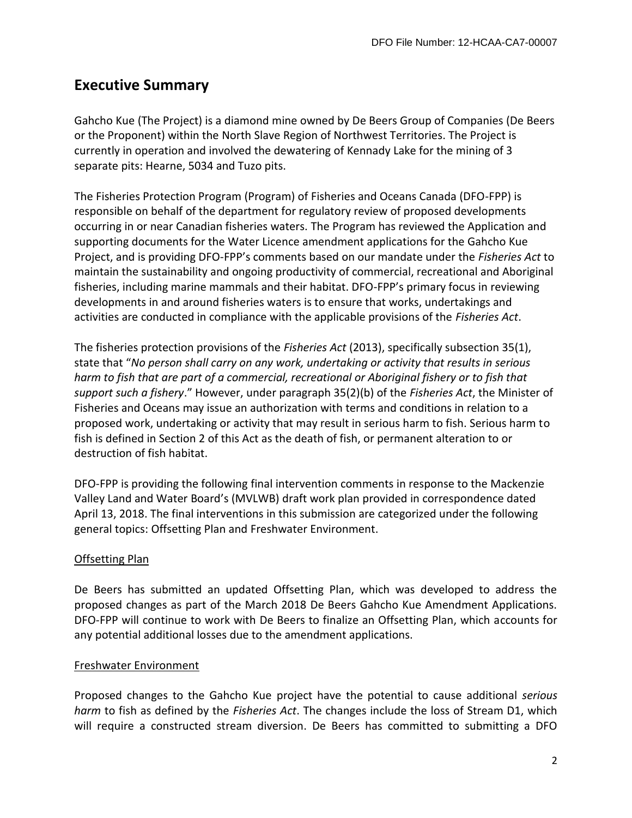### <span id="page-4-0"></span>**Executive Summary**

Gahcho Kue (The Project) is a diamond mine owned by De Beers Group of Companies (De Beers or the Proponent) within the North Slave Region of Northwest Territories. The Project is currently in operation and involved the dewatering of Kennady Lake for the mining of 3 separate pits: Hearne, 5034 and Tuzo pits.

The Fisheries Protection Program (Program) of Fisheries and Oceans Canada (DFO-FPP) is responsible on behalf of the department for regulatory review of proposed developments occurring in or near Canadian fisheries waters. The Program has reviewed the Application and supporting documents for the Water Licence amendment applications for the Gahcho Kue Project, and is providing DFO-FPP's comments based on our mandate under the *Fisheries Act* to maintain the sustainability and ongoing productivity of commercial, recreational and Aboriginal fisheries, including marine mammals and their habitat. DFO-FPP's primary focus in reviewing developments in and around fisheries waters is to ensure that works, undertakings and activities are conducted in compliance with the applicable provisions of the *Fisheries Act*.

The fisheries protection provisions of the *Fisheries Act* (2013), specifically subsection 35(1), state that "*No person shall carry on any work, undertaking or activity that results in serious harm to fish that are part of a commercial, recreational or Aboriginal fishery or to fish that support such a fishery*." However, under paragraph 35(2)(b) of the *Fisheries Act*, the Minister of Fisheries and Oceans may issue an authorization with terms and conditions in relation to a proposed work, undertaking or activity that may result in serious harm to fish. Serious harm to fish is defined in Section 2 of this Act as the death of fish, or permanent alteration to or destruction of fish habitat.

DFO-FPP is providing the following final intervention comments in response to the Mackenzie Valley Land and Water Board's (MVLWB) draft work plan provided in correspondence dated April 13, 2018. The final interventions in this submission are categorized under the following general topics: Offsetting Plan and Freshwater Environment.

#### Offsetting Plan

De Beers has submitted an updated Offsetting Plan, which was developed to address the proposed changes as part of the March 2018 De Beers Gahcho Kue Amendment Applications. DFO-FPP will continue to work with De Beers to finalize an Offsetting Plan, which accounts for any potential additional losses due to the amendment applications.

#### Freshwater Environment

Proposed changes to the Gahcho Kue project have the potential to cause additional *serious harm* to fish as defined by the *Fisheries Act*. The changes include the loss of Stream D1, which will require a constructed stream diversion. De Beers has committed to submitting a DFO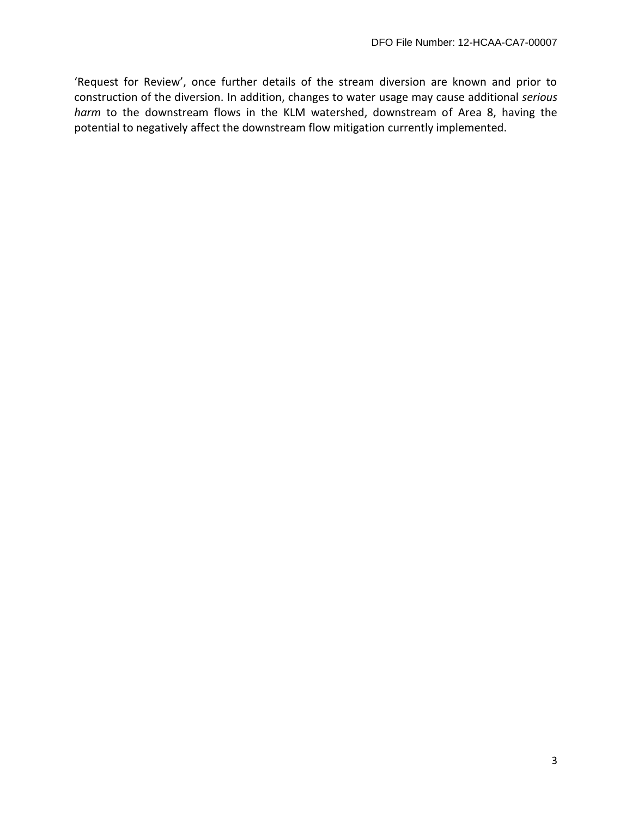'Request for Review', once further details of the stream diversion are known and prior to construction of the diversion. In addition, changes to water usage may cause additional *serious harm* to the downstream flows in the KLM watershed, downstream of Area 8, having the potential to negatively affect the downstream flow mitigation currently implemented.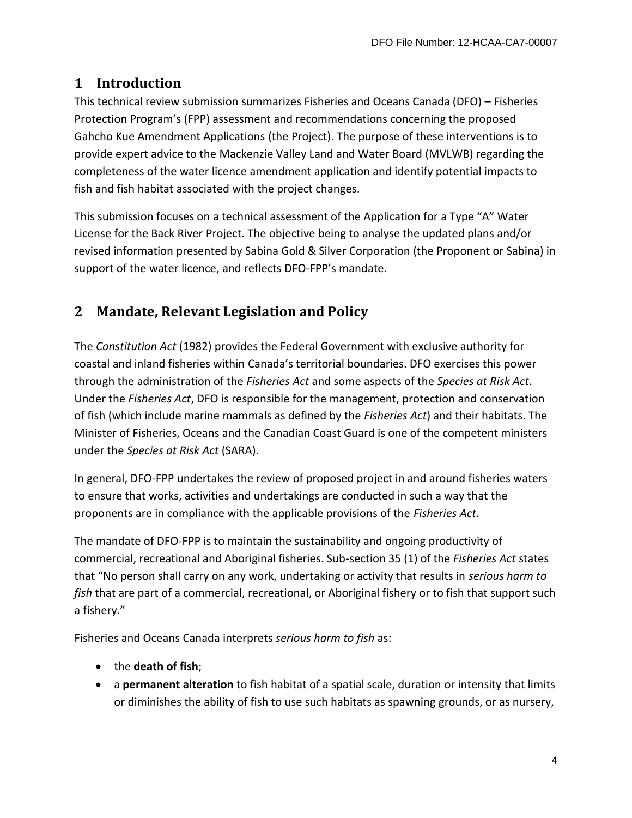#### <span id="page-6-0"></span>**1 Introduction**

This technical review submission summarizes Fisheries and Oceans Canada (DFO) – Fisheries Protection Program's (FPP) assessment and recommendations concerning the proposed Gahcho Kue Amendment Applications (the Project). The purpose of these interventions is to provide expert advice to the Mackenzie Valley Land and Water Board (MVLWB) regarding the completeness of the water licence amendment application and identify potential impacts to fish and fish habitat associated with the project changes.

This submission focuses on a technical assessment of the Application for a Type "A" Water License for the Back River Project. The objective being to analyse the updated plans and/or revised information presented by Sabina Gold & Silver Corporation (the Proponent or Sabina) in support of the water licence, and reflects DFO-FPP's mandate.

## <span id="page-6-1"></span>**2 Mandate, Relevant Legislation and Policy**

The *Constitution Act* (1982) provides the Federal Government with exclusive authority for coastal and inland fisheries within Canada's territorial boundaries. DFO exercises this power through the administration of the *Fisheries Act* and some aspects of the *Species at Risk Act*. Under the *Fisheries Act*, DFO is responsible for the management, protection and conservation of fish (which include marine mammals as defined by the *Fisheries Act*) and their habitats. The Minister of Fisheries, Oceans and the Canadian Coast Guard is one of the competent ministers under the *Species at Risk Act* (SARA).

In general, DFO-FPP undertakes the review of proposed project in and around fisheries waters to ensure that works, activities and undertakings are conducted in such a way that the proponents are in compliance with the applicable provisions of the *Fisheries Act.* 

The mandate of DFO-FPP is to maintain the sustainability and ongoing productivity of commercial, recreational and Aboriginal fisheries. Sub-section 35 (1) of the *Fisheries Act* states that "No person shall carry on any work, undertaking or activity that results in *serious harm to fish* that are part of a commercial, recreational, or Aboriginal fishery or to fish that support such a fishery."

Fisheries and Oceans Canada interprets *serious harm to fish* as:

- the **death of fish**;
- a **permanent alteration** to fish habitat of a spatial scale, duration or intensity that limits or diminishes the ability of fish to use such habitats as spawning grounds, or as nursery,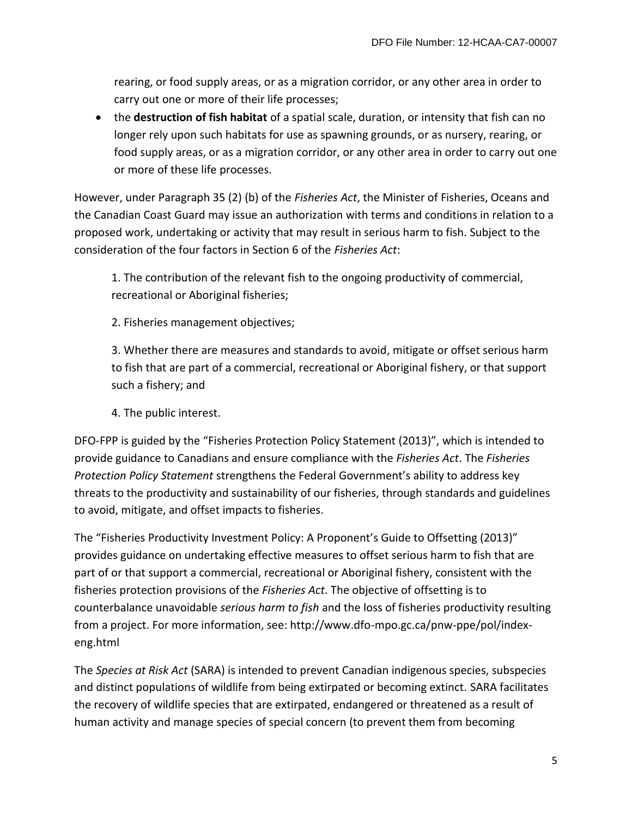rearing, or food supply areas, or as a migration corridor, or any other area in order to carry out one or more of their life processes;

 the **destruction of fish habitat** of a spatial scale, duration, or intensity that fish can no longer rely upon such habitats for use as spawning grounds, or as nursery, rearing, or food supply areas, or as a migration corridor, or any other area in order to carry out one or more of these life processes.

However, under Paragraph 35 (2) (b) of the *Fisheries Act*, the Minister of Fisheries, Oceans and the Canadian Coast Guard may issue an authorization with terms and conditions in relation to a proposed work, undertaking or activity that may result in serious harm to fish. Subject to the consideration of the four factors in Section 6 of the *Fisheries Act*:

1. The contribution of the relevant fish to the ongoing productivity of commercial, recreational or Aboriginal fisheries;

2. Fisheries management objectives;

3. Whether there are measures and standards to avoid, mitigate or offset serious harm to fish that are part of a commercial, recreational or Aboriginal fishery, or that support such a fishery; and

4. The public interest.

DFO-FPP is guided by the "Fisheries Protection Policy Statement (2013)", which is intended to provide guidance to Canadians and ensure compliance with the *Fisheries Act*. The *Fisheries Protection Policy Statement* strengthens the Federal Government's ability to address key threats to the productivity and sustainability of our fisheries, through standards and guidelines to avoid, mitigate, and offset impacts to fisheries.

The "Fisheries Productivity Investment Policy: A Proponent's Guide to Offsetting (2013)" provides guidance on undertaking effective measures to offset serious harm to fish that are part of or that support a commercial, recreational or Aboriginal fishery, consistent with the fisheries protection provisions of the *Fisheries Act*. The objective of offsetting is to counterbalance unavoidable *serious harm to fish* and the loss of fisheries productivity resulting from a project. For more information, see: http://www.dfo-mpo.gc.ca/pnw-ppe/pol/indexeng.html

The *Species at Risk Act* (SARA) is intended to prevent Canadian indigenous species, subspecies and distinct populations of wildlife from being extirpated or becoming extinct. SARA facilitates the recovery of wildlife species that are extirpated, endangered or threatened as a result of human activity and manage species of special concern (to prevent them from becoming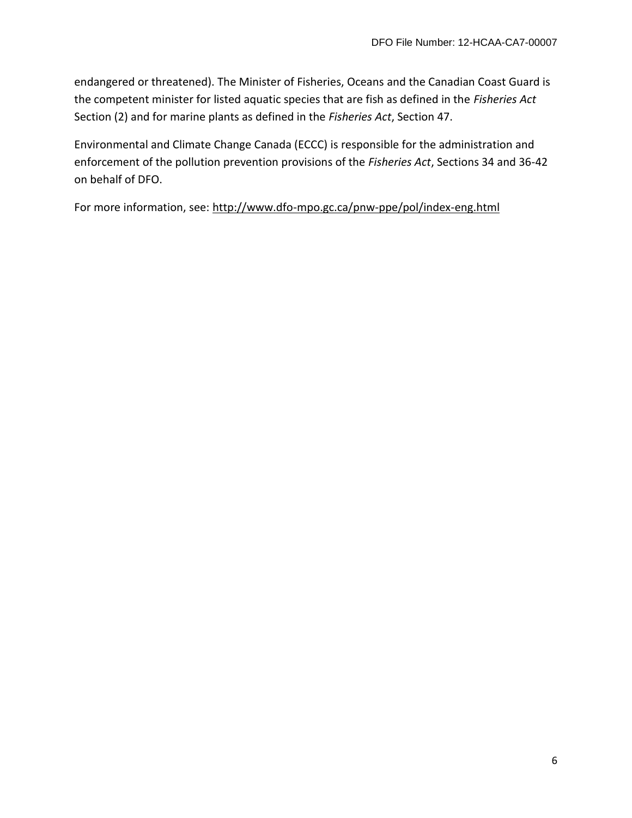endangered or threatened). The Minister of Fisheries, Oceans and the Canadian Coast Guard is the competent minister for listed aquatic species that are fish as defined in the *Fisheries Act*  Section (2) and for marine plants as defined in the *Fisheries Act*, Section 47.

Environmental and Climate Change Canada (ECCC) is responsible for the administration and enforcement of the pollution prevention provisions of the *Fisheries Act*, Sections 34 and 36-42 on behalf of DFO.

For more information, see:<http://www.dfo-mpo.gc.ca/pnw-ppe/pol/index-eng.html>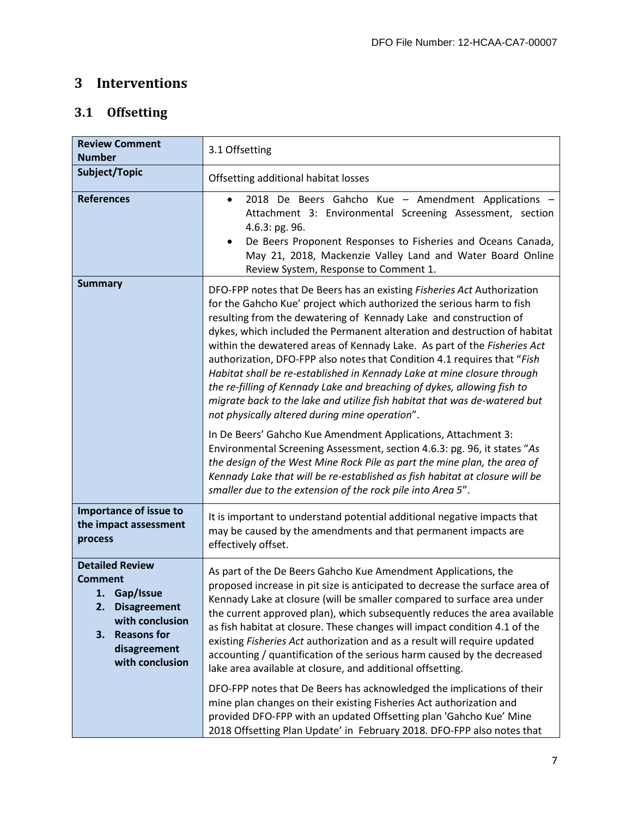### <span id="page-9-0"></span>**3 Interventions**

## <span id="page-9-1"></span>**3.1 Offsetting**

| <b>Review Comment</b><br><b>Number</b>                                                                                                                                  | 3.1 Offsetting                                                                                                                                                                                                                                                                                                                                                                                                                                                                                                                                                                                                                                                                                                                                                                                                                                                                                                                                                                                                                                                                                                         |
|-------------------------------------------------------------------------------------------------------------------------------------------------------------------------|------------------------------------------------------------------------------------------------------------------------------------------------------------------------------------------------------------------------------------------------------------------------------------------------------------------------------------------------------------------------------------------------------------------------------------------------------------------------------------------------------------------------------------------------------------------------------------------------------------------------------------------------------------------------------------------------------------------------------------------------------------------------------------------------------------------------------------------------------------------------------------------------------------------------------------------------------------------------------------------------------------------------------------------------------------------------------------------------------------------------|
| Subject/Topic                                                                                                                                                           | Offsetting additional habitat losses                                                                                                                                                                                                                                                                                                                                                                                                                                                                                                                                                                                                                                                                                                                                                                                                                                                                                                                                                                                                                                                                                   |
| <b>References</b>                                                                                                                                                       | 2018 De Beers Gahcho Kue - Amendment Applications -<br>$\bullet$<br>Attachment 3: Environmental Screening Assessment, section<br>4.6.3: pg. 96.<br>De Beers Proponent Responses to Fisheries and Oceans Canada,<br>May 21, 2018, Mackenzie Valley Land and Water Board Online<br>Review System, Response to Comment 1.                                                                                                                                                                                                                                                                                                                                                                                                                                                                                                                                                                                                                                                                                                                                                                                                 |
| <b>Summary</b>                                                                                                                                                          | DFO-FPP notes that De Beers has an existing Fisheries Act Authorization<br>for the Gahcho Kue' project which authorized the serious harm to fish<br>resulting from the dewatering of Kennady Lake and construction of<br>dykes, which included the Permanent alteration and destruction of habitat<br>within the dewatered areas of Kennady Lake. As part of the Fisheries Act<br>authorization, DFO-FPP also notes that Condition 4.1 requires that "Fish<br>Habitat shall be re-established in Kennady Lake at mine closure through<br>the re-filling of Kennady Lake and breaching of dykes, allowing fish to<br>migrate back to the lake and utilize fish habitat that was de-watered but<br>not physically altered during mine operation".<br>In De Beers' Gahcho Kue Amendment Applications, Attachment 3:<br>Environmental Screening Assessment, section 4.6.3: pg. 96, it states "As<br>the design of the West Mine Rock Pile as part the mine plan, the area of<br>Kennady Lake that will be re-established as fish habitat at closure will be<br>smaller due to the extension of the rock pile into Area 5". |
| Importance of issue to<br>the impact assessment<br>process                                                                                                              | It is important to understand potential additional negative impacts that<br>may be caused by the amendments and that permanent impacts are<br>effectively offset.                                                                                                                                                                                                                                                                                                                                                                                                                                                                                                                                                                                                                                                                                                                                                                                                                                                                                                                                                      |
| <b>Detailed Review</b><br><b>Comment</b><br>1. Gap/Issue<br>2.<br><b>Disagreement</b><br>with conclusion<br><b>Reasons for</b><br>З.<br>disagreement<br>with conclusion | As part of the De Beers Gahcho Kue Amendment Applications, the<br>proposed increase in pit size is anticipated to decrease the surface area of<br>Kennady Lake at closure (will be smaller compared to surface area under<br>the current approved plan), which subsequently reduces the area available<br>as fish habitat at closure. These changes will impact condition 4.1 of the<br>existing Fisheries Act authorization and as a result will require updated<br>accounting / quantification of the serious harm caused by the decreased<br>lake area available at closure, and additional offsetting.<br>DFO-FPP notes that De Beers has acknowledged the implications of their<br>mine plan changes on their existing Fisheries Act authorization and                                                                                                                                                                                                                                                                                                                                                            |
|                                                                                                                                                                         | provided DFO-FPP with an updated Offsetting plan 'Gahcho Kue' Mine<br>2018 Offsetting Plan Update' in February 2018. DFO-FPP also notes that                                                                                                                                                                                                                                                                                                                                                                                                                                                                                                                                                                                                                                                                                                                                                                                                                                                                                                                                                                           |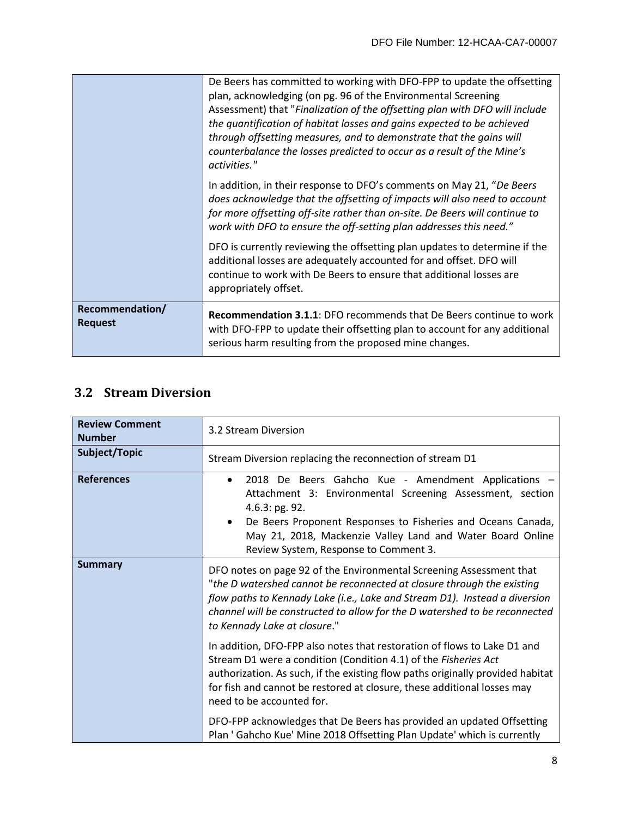|                                   | De Beers has committed to working with DFO-FPP to update the offsetting<br>plan, acknowledging (on pg. 96 of the Environmental Screening<br>Assessment) that "Finalization of the offsetting plan with DFO will include<br>the quantification of habitat losses and gains expected to be achieved<br>through offsetting measures, and to demonstrate that the gains will<br>counterbalance the losses predicted to occur as a result of the Mine's<br>activities." |
|-----------------------------------|--------------------------------------------------------------------------------------------------------------------------------------------------------------------------------------------------------------------------------------------------------------------------------------------------------------------------------------------------------------------------------------------------------------------------------------------------------------------|
|                                   | In addition, in their response to DFO's comments on May 21, "De Beers"<br>does acknowledge that the offsetting of impacts will also need to account<br>for more offsetting off-site rather than on-site. De Beers will continue to<br>work with DFO to ensure the off-setting plan addresses this need."                                                                                                                                                           |
|                                   | DFO is currently reviewing the offsetting plan updates to determine if the<br>additional losses are adequately accounted for and offset. DFO will<br>continue to work with De Beers to ensure that additional losses are<br>appropriately offset.                                                                                                                                                                                                                  |
| Recommendation/<br><b>Request</b> | <b>Recommendation 3.1.1: DFO recommends that De Beers continue to work</b><br>with DFO-FPP to update their offsetting plan to account for any additional<br>serious harm resulting from the proposed mine changes.                                                                                                                                                                                                                                                 |

#### <span id="page-10-0"></span>**3.2 Stream Diversion**

| <b>Review Comment</b><br><b>Number</b> | 3.2 Stream Diversion                                                                                                                                                                                                                                                                                                                      |
|----------------------------------------|-------------------------------------------------------------------------------------------------------------------------------------------------------------------------------------------------------------------------------------------------------------------------------------------------------------------------------------------|
| Subject/Topic                          | Stream Diversion replacing the reconnection of stream D1                                                                                                                                                                                                                                                                                  |
| <b>References</b>                      | 2018 De Beers Gahcho Kue - Amendment Applications -<br>$\bullet$<br>Attachment 3: Environmental Screening Assessment, section<br>4.6.3: pg. 92.<br>De Beers Proponent Responses to Fisheries and Oceans Canada,<br>$\bullet$<br>May 21, 2018, Mackenzie Valley Land and Water Board Online<br>Review System, Response to Comment 3.       |
| <b>Summary</b>                         | DFO notes on page 92 of the Environmental Screening Assessment that<br>"the D watershed cannot be reconnected at closure through the existing<br>flow paths to Kennady Lake (i.e., Lake and Stream D1). Instead a diversion<br>channel will be constructed to allow for the D watershed to be reconnected<br>to Kennady Lake at closure." |
|                                        | In addition, DFO-FPP also notes that restoration of flows to Lake D1 and<br>Stream D1 were a condition (Condition 4.1) of the Fisheries Act<br>authorization. As such, if the existing flow paths originally provided habitat<br>for fish and cannot be restored at closure, these additional losses may<br>need to be accounted for.     |
|                                        | DFO-FPP acknowledges that De Beers has provided an updated Offsetting<br>Plan ' Gahcho Kue' Mine 2018 Offsetting Plan Update' which is currently                                                                                                                                                                                          |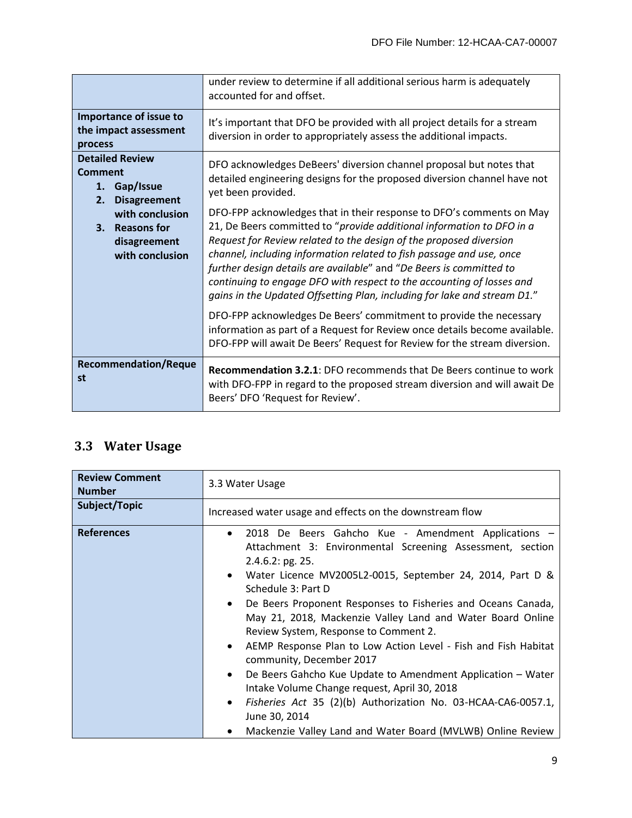|                                                                                          | under review to determine if all additional serious harm is adequately<br>accounted for and offset.                                                                                                                                                                                                                                                                                                                                                                                                                                                                                                                                                                                                                                                      |
|------------------------------------------------------------------------------------------|----------------------------------------------------------------------------------------------------------------------------------------------------------------------------------------------------------------------------------------------------------------------------------------------------------------------------------------------------------------------------------------------------------------------------------------------------------------------------------------------------------------------------------------------------------------------------------------------------------------------------------------------------------------------------------------------------------------------------------------------------------|
| Importance of issue to<br>the impact assessment<br>process                               | It's important that DFO be provided with all project details for a stream<br>diversion in order to appropriately assess the additional impacts.                                                                                                                                                                                                                                                                                                                                                                                                                                                                                                                                                                                                          |
| <b>Detailed Review</b><br><b>Comment</b><br>Gap/Issue<br>1.<br>2.<br><b>Disagreement</b> | DFO acknowledges DeBeers' diversion channel proposal but notes that<br>detailed engineering designs for the proposed diversion channel have not<br>yet been provided.                                                                                                                                                                                                                                                                                                                                                                                                                                                                                                                                                                                    |
| with conclusion<br><b>Reasons for</b><br>3.<br>disagreement<br>with conclusion           | DFO-FPP acknowledges that in their response to DFO's comments on May<br>21, De Beers committed to "provide additional information to DFO in a<br>Request for Review related to the design of the proposed diversion<br>channel, including information related to fish passage and use, once<br>further design details are available" and "De Beers is committed to<br>continuing to engage DFO with respect to the accounting of losses and<br>gains in the Updated Offsetting Plan, including for lake and stream D1."<br>DFO-FPP acknowledges De Beers' commitment to provide the necessary<br>information as part of a Request for Review once details become available.<br>DFO-FPP will await De Beers' Request for Review for the stream diversion. |
| <b>Recommendation/Reque</b><br>st                                                        | <b>Recommendation 3.2.1: DFO recommends that De Beers continue to work</b><br>with DFO-FPP in regard to the proposed stream diversion and will await De<br>Beers' DFO 'Request for Review'.                                                                                                                                                                                                                                                                                                                                                                                                                                                                                                                                                              |

## <span id="page-11-0"></span>**3.3 Water Usage**

| <b>Review Comment</b><br><b>Number</b> | 3.3 Water Usage                                                                                                                                                                                                                                                                                                                                                                                                                                                                                                                                                                                                                                                                                                                                                                                                                            |
|----------------------------------------|--------------------------------------------------------------------------------------------------------------------------------------------------------------------------------------------------------------------------------------------------------------------------------------------------------------------------------------------------------------------------------------------------------------------------------------------------------------------------------------------------------------------------------------------------------------------------------------------------------------------------------------------------------------------------------------------------------------------------------------------------------------------------------------------------------------------------------------------|
| Subject/Topic                          | Increased water usage and effects on the downstream flow                                                                                                                                                                                                                                                                                                                                                                                                                                                                                                                                                                                                                                                                                                                                                                                   |
| <b>References</b>                      | 2018 De Beers Gahcho Kue - Amendment Applications -<br>$\bullet$<br>Attachment 3: Environmental Screening Assessment, section<br>2.4.6.2: pg. 25.<br>Water Licence MV2005L2-0015, September 24, 2014, Part D &<br>$\bullet$<br>Schedule 3: Part D<br>De Beers Proponent Responses to Fisheries and Oceans Canada,<br>$\bullet$<br>May 21, 2018, Mackenzie Valley Land and Water Board Online<br>Review System, Response to Comment 2.<br>AEMP Response Plan to Low Action Level - Fish and Fish Habitat<br>$\bullet$<br>community, December 2017<br>De Beers Gahcho Kue Update to Amendment Application - Water<br>$\bullet$<br>Intake Volume Change request, April 30, 2018<br>Fisheries Act 35 (2)(b) Authorization No. 03-HCAA-CA6-0057.1,<br>$\bullet$<br>June 30, 2014<br>Mackenzie Valley Land and Water Board (MVLWB) Online Review |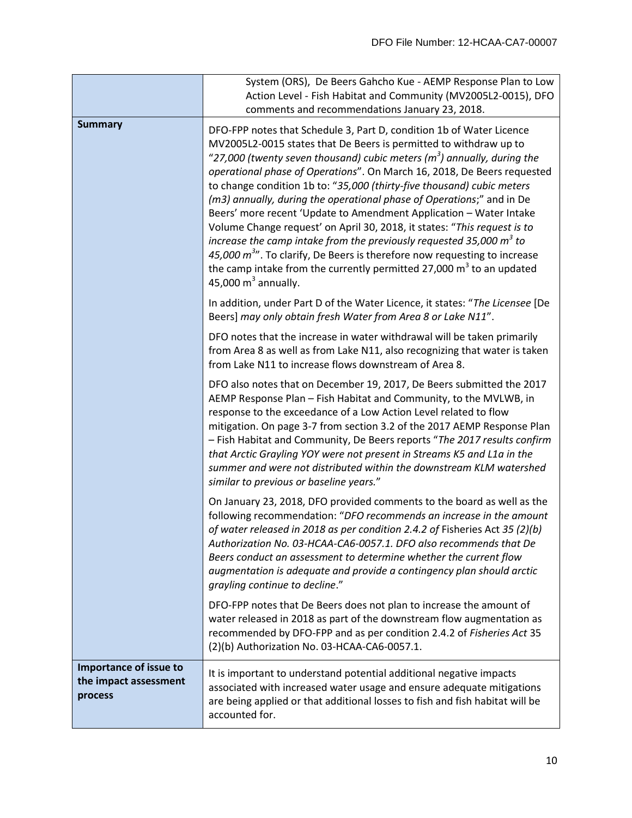|                                                            | System (ORS), De Beers Gahcho Kue - AEMP Response Plan to Low<br>Action Level - Fish Habitat and Community (MV2005L2-0015), DFO<br>comments and recommendations January 23, 2018.                                                                                                                                                                                                                                                                                                                                                                                                                                                                                                                                                                                                                                                                                                |
|------------------------------------------------------------|----------------------------------------------------------------------------------------------------------------------------------------------------------------------------------------------------------------------------------------------------------------------------------------------------------------------------------------------------------------------------------------------------------------------------------------------------------------------------------------------------------------------------------------------------------------------------------------------------------------------------------------------------------------------------------------------------------------------------------------------------------------------------------------------------------------------------------------------------------------------------------|
| <b>Summary</b>                                             | DFO-FPP notes that Schedule 3, Part D, condition 1b of Water Licence<br>MV2005L2-0015 states that De Beers is permitted to withdraw up to<br>"27,000 (twenty seven thousand) cubic meters ( $m3$ ) annually, during the<br>operational phase of Operations". On March 16, 2018, De Beers requested<br>to change condition 1b to: "35,000 (thirty-five thousand) cubic meters<br>(m3) annually, during the operational phase of Operations;" and in De<br>Beers' more recent 'Update to Amendment Application - Water Intake<br>Volume Change request' on April 30, 2018, it states: "This request is to<br>increase the camp intake from the previously requested 35,000 $m^3$ to<br>45,000 $m^{3}$ ". To clarify, De Beers is therefore now requesting to increase<br>the camp intake from the currently permitted 27,000 m <sup>3</sup> to an updated<br>45,000 $m3$ annually. |
|                                                            | In addition, under Part D of the Water Licence, it states: "The Licensee [De<br>Beers] may only obtain fresh Water from Area 8 or Lake N11".                                                                                                                                                                                                                                                                                                                                                                                                                                                                                                                                                                                                                                                                                                                                     |
|                                                            | DFO notes that the increase in water withdrawal will be taken primarily<br>from Area 8 as well as from Lake N11, also recognizing that water is taken<br>from Lake N11 to increase flows downstream of Area 8.                                                                                                                                                                                                                                                                                                                                                                                                                                                                                                                                                                                                                                                                   |
|                                                            | DFO also notes that on December 19, 2017, De Beers submitted the 2017<br>AEMP Response Plan - Fish Habitat and Community, to the MVLWB, in<br>response to the exceedance of a Low Action Level related to flow<br>mitigation. On page 3-7 from section 3.2 of the 2017 AEMP Response Plan<br>- Fish Habitat and Community, De Beers reports "The 2017 results confirm<br>that Arctic Grayling YOY were not present in Streams K5 and L1a in the<br>summer and were not distributed within the downstream KLM watershed<br>similar to previous or baseline years."                                                                                                                                                                                                                                                                                                                |
|                                                            | On January 23, 2018, DFO provided comments to the board as well as the<br>following recommendation: "DFO recommends an increase in the amount<br>of water released in 2018 as per condition 2.4.2 of Fisheries Act 35 (2)(b)<br>Authorization No. 03-HCAA-CA6-0057.1. DFO also recommends that De<br>Beers conduct an assessment to determine whether the current flow<br>augmentation is adequate and provide a contingency plan should arctic<br>grayling continue to decline."                                                                                                                                                                                                                                                                                                                                                                                                |
|                                                            | DFO-FPP notes that De Beers does not plan to increase the amount of<br>water released in 2018 as part of the downstream flow augmentation as<br>recommended by DFO-FPP and as per condition 2.4.2 of Fisheries Act 35<br>(2)(b) Authorization No. 03-HCAA-CA6-0057.1.                                                                                                                                                                                                                                                                                                                                                                                                                                                                                                                                                                                                            |
| Importance of issue to<br>the impact assessment<br>process | It is important to understand potential additional negative impacts<br>associated with increased water usage and ensure adequate mitigations<br>are being applied or that additional losses to fish and fish habitat will be<br>accounted for.                                                                                                                                                                                                                                                                                                                                                                                                                                                                                                                                                                                                                                   |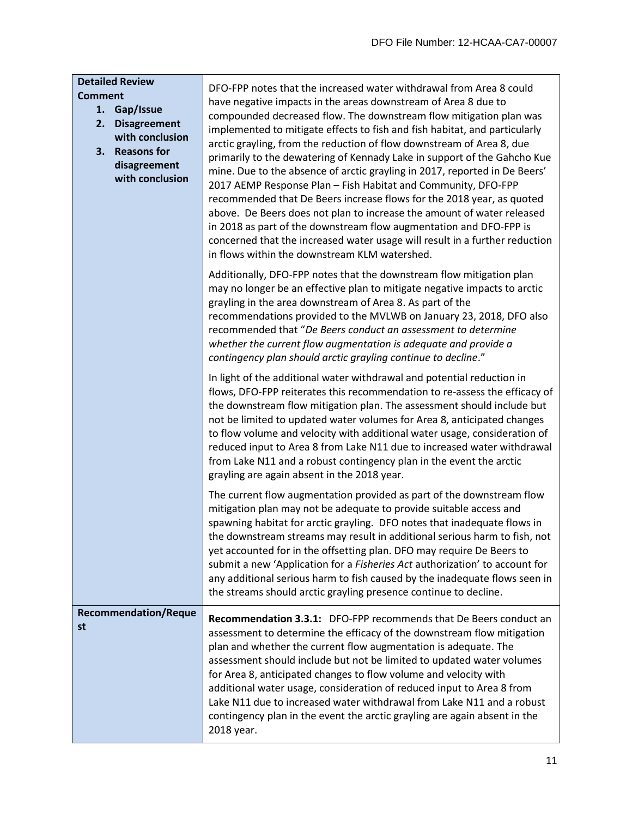| <b>Detailed Review</b><br><b>Comment</b><br>Gap/Issue<br>1.<br>2.<br><b>Disagreement</b><br>with conclusion<br><b>Reasons for</b><br>3.<br>disagreement<br>with conclusion | DFO-FPP notes that the increased water withdrawal from Area 8 could<br>have negative impacts in the areas downstream of Area 8 due to<br>compounded decreased flow. The downstream flow mitigation plan was<br>implemented to mitigate effects to fish and fish habitat, and particularly<br>arctic grayling, from the reduction of flow downstream of Area 8, due<br>primarily to the dewatering of Kennady Lake in support of the Gahcho Kue<br>mine. Due to the absence of arctic grayling in 2017, reported in De Beers'<br>2017 AEMP Response Plan - Fish Habitat and Community, DFO-FPP<br>recommended that De Beers increase flows for the 2018 year, as quoted<br>above. De Beers does not plan to increase the amount of water released<br>in 2018 as part of the downstream flow augmentation and DFO-FPP is<br>concerned that the increased water usage will result in a further reduction<br>in flows within the downstream KLM watershed. |
|----------------------------------------------------------------------------------------------------------------------------------------------------------------------------|--------------------------------------------------------------------------------------------------------------------------------------------------------------------------------------------------------------------------------------------------------------------------------------------------------------------------------------------------------------------------------------------------------------------------------------------------------------------------------------------------------------------------------------------------------------------------------------------------------------------------------------------------------------------------------------------------------------------------------------------------------------------------------------------------------------------------------------------------------------------------------------------------------------------------------------------------------|
|                                                                                                                                                                            | Additionally, DFO-FPP notes that the downstream flow mitigation plan<br>may no longer be an effective plan to mitigate negative impacts to arctic<br>grayling in the area downstream of Area 8. As part of the<br>recommendations provided to the MVLWB on January 23, 2018, DFO also<br>recommended that "De Beers conduct an assessment to determine<br>whether the current flow augmentation is adequate and provide a<br>contingency plan should arctic grayling continue to decline."                                                                                                                                                                                                                                                                                                                                                                                                                                                             |
|                                                                                                                                                                            | In light of the additional water withdrawal and potential reduction in<br>flows, DFO-FPP reiterates this recommendation to re-assess the efficacy of<br>the downstream flow mitigation plan. The assessment should include but<br>not be limited to updated water volumes for Area 8, anticipated changes<br>to flow volume and velocity with additional water usage, consideration of<br>reduced input to Area 8 from Lake N11 due to increased water withdrawal<br>from Lake N11 and a robust contingency plan in the event the arctic<br>grayling are again absent in the 2018 year.                                                                                                                                                                                                                                                                                                                                                                |
|                                                                                                                                                                            | The current flow augmentation provided as part of the downstream flow<br>mitigation plan may not be adequate to provide suitable access and<br>spawning habitat for arctic grayling. DFO notes that inadequate flows in<br>the downstream streams may result in additional serious harm to fish, not<br>yet accounted for in the offsetting plan. DFO may require De Beers to<br>submit a new 'Application for a Fisheries Act authorization' to account for<br>any additional serious harm to fish caused by the inadequate flows seen in<br>the streams should arctic grayling presence continue to decline.                                                                                                                                                                                                                                                                                                                                         |
| <b>Recommendation/Reque</b><br>st                                                                                                                                          | <b>Recommendation 3.3.1:</b> DFO-FPP recommends that De Beers conduct an<br>assessment to determine the efficacy of the downstream flow mitigation<br>plan and whether the current flow augmentation is adequate. The<br>assessment should include but not be limited to updated water volumes<br>for Area 8, anticipated changes to flow volume and velocity with<br>additional water usage, consideration of reduced input to Area 8 from<br>Lake N11 due to increased water withdrawal from Lake N11 and a robust<br>contingency plan in the event the arctic grayling are again absent in the<br>2018 year.                                                                                                                                                                                                                                                                                                                                        |